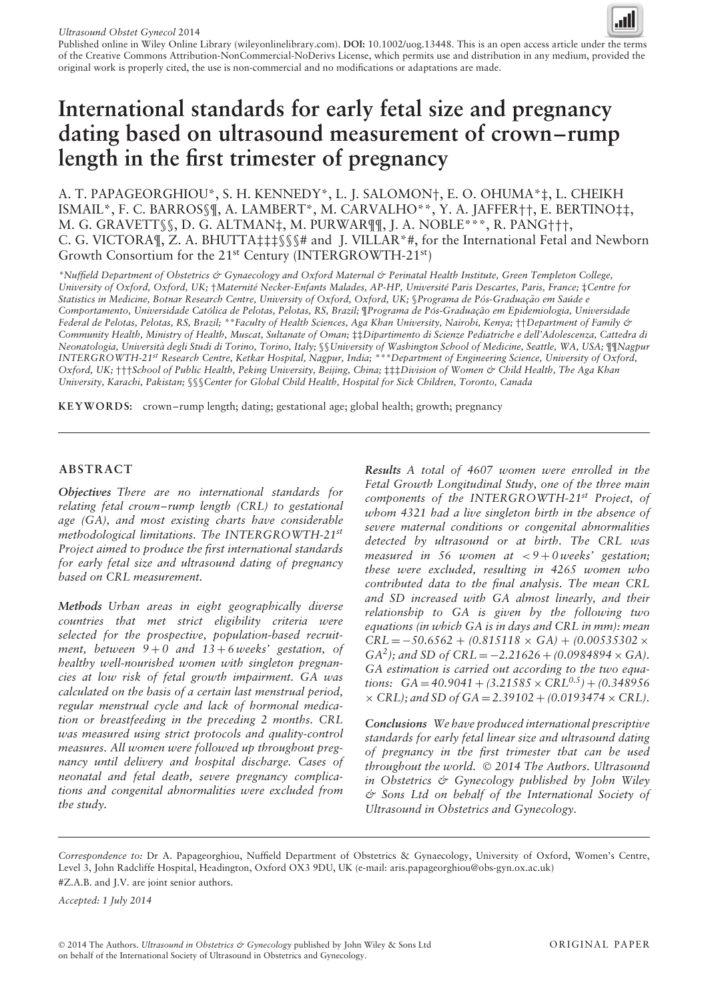

# **International standards for early fetal size and pregnancy dating based on ultrasound measurement of crown–rump length in the first trimester of pregnancy**

A. T. PAPAGEORGHIOU\*, S. H. KENNEDY\*, L. J. SALOMON†, E. O. OHUMA\*‡, L. CHEIKH ISMAIL\*, F. C. BARROS§¶, A. LAMBERT\*, M. CARVALHO\*\*, Y. A. JAFFER††, E. BERTINO‡‡, M. G. GRAVETT§§, D. G. ALTMAN‡, M. PURWAR¶¶, J. A. NOBLE\*\*\*, R. PANG†††, C. G. VICTORA¶, Z. A. BHUTTA‡‡‡§§§# and J. VILLAR\*#, for the International Fetal and Newborn Growth Consortium for the 21<sup>st</sup> Century (INTERGROWTH-21<sup>st</sup>)

*\*Nuffield Department of Obstetrics & Gynaecology and Oxford Maternal & Perinatal Health Institute, Green Templeton College, University of Oxford, Oxford, UK;* †*Maternite Necker-Enfants Malades, AP-HP, Universit ´ e Paris Descartes, Paris, France; ´* ‡*Centre for Statistics in Medicine, Botnar Research Centre, University of Oxford, Oxford, UK;* §*Programa de Pos-Graduac ´ ¸ao em Sa ˜ ude e ´ Comportamento, Universidade Catolica de Pelotas, Pelotas, RS, Brazil; ´* ¶*Programa de Pos-Graduac ´ ¸ao em Epidemiologia, Universidade ˜ Federal de Pelotas, Pelotas, RS, Brazil; \*\*Faculty of Health Sciences, Aga Khan University, Nairobi, Kenya;* ††*Department of Family & Community Health, Ministry of Health, Muscat, Sultanate of Oman;* ‡‡*Dipartimento di Scienze Pediatriche e dell'Adolescenza, Cattedra di Neonatologia, Universita degli Studi di Torino, Torino, Italy; `* §§*University of Washington School of Medicine, Seattle, WA, USA;* ¶¶*Nagpur INTERGROWTH-21st Research Centre, Ketkar Hospital, Nagpur, India; \*\*\*Department of Engineering Science, University of Oxford, Oxford, UK;* †††*School of Public Health, Peking University, Beijing, China;* ‡‡‡*Division of Women & Child Health, The Aga Khan University, Karachi, Pakistan;* §§§*Center for Global Child Health, Hospital for Sick Children, Toronto, Canada*

**KEYWORDS:** crown–rump length; dating; gestational age; global health; growth; pregnancy

## **ABSTRACT**

*Objectives There are no international standards for relating fetal crown–rump length (CRL) to gestational age (GA), and most existing charts have considerable methodological limitations. The INTERGROWTH-21st Project aimed to produce the first international standards for early fetal size and ultrasound dating of pregnancy based on CRL measurement.*

*Methods Urban areas in eight geographically diverse countries that met strict eligibility criteria were selected for the prospective, population-based recruitment, between 9* + *0 and 13* + *6 weeks' gestation, of healthy well-nourished women with singleton pregnancies at low risk of fetal growth impairment. GA was calculated on the basis of a certain last menstrual period, regular menstrual cycle and lack of hormonal medication or breastfeeding in the preceding 2 months. CRL was measured using strict protocols and quality-control measures. All women were followed up throughout pregnancy until delivery and hospital discharge. Cases of neonatal and fetal death, severe pregnancy complications and congenital abnormalities were excluded from the study.*

*Results A total of 4607 women were enrolled in the Fetal Growth Longitudinal Study, one of the three main components of the INTERGROWTH-21st Project, of whom 4321 had a live singleton birth in the absence of severe maternal conditions or congenital abnormalities detected by ultrasound or at birth. The CRL was measured in 56 women at < 9* + *0 weeks' gestation; these were excluded, resulting in 4265 women who contributed data to the final analysis. The mean CRL and SD increased with GA almost linearly, and their relationship to GA is given by the following two equations (in which GA is in days and CRL in mm): mean*  $CRL = -50.6562 + (0.815118 \times GA) + (0.00535302 \times$ *GA<sup>2</sup>*); and *SD* of *CRL* =  $-2.21626 + (0.0984894 \times GA)$ . *GA estimation is carried out according to the two equations:*  $GA = 40.9041 + (3.21585 \times \overline{CRL}^{0.5}) + (0.348956$  $\times$  *CRL); and SD of GA* = 2.39102 + *(0.0193474*  $\times$  *CRL).* 

*Conclusions We have produced international prescriptive standards for early fetal linear size and ultrasound dating of pregnancy in the first trimester that can be used throughout the world.* © *2014 The Authors. Ultrasound in Obstetrics & Gynecology published by John Wiley & Sons Ltd on behalf of the International Society of Ultrasound in Obstetrics and Gynecology.*

*Accepted: 1 July 2014*

*Correspondence to:* Dr A. Papageorghiou, Nuffield Department of Obstetrics & Gynaecology, University of Oxford, Women's Centre, Level 3, John Radcliffe Hospital, Headington, Oxford OX3 9DU, UK (e-mail: aris.papageorghiou@obs-gyn.ox.ac.uk) #Z.A.B. and J.V. are joint senior authors.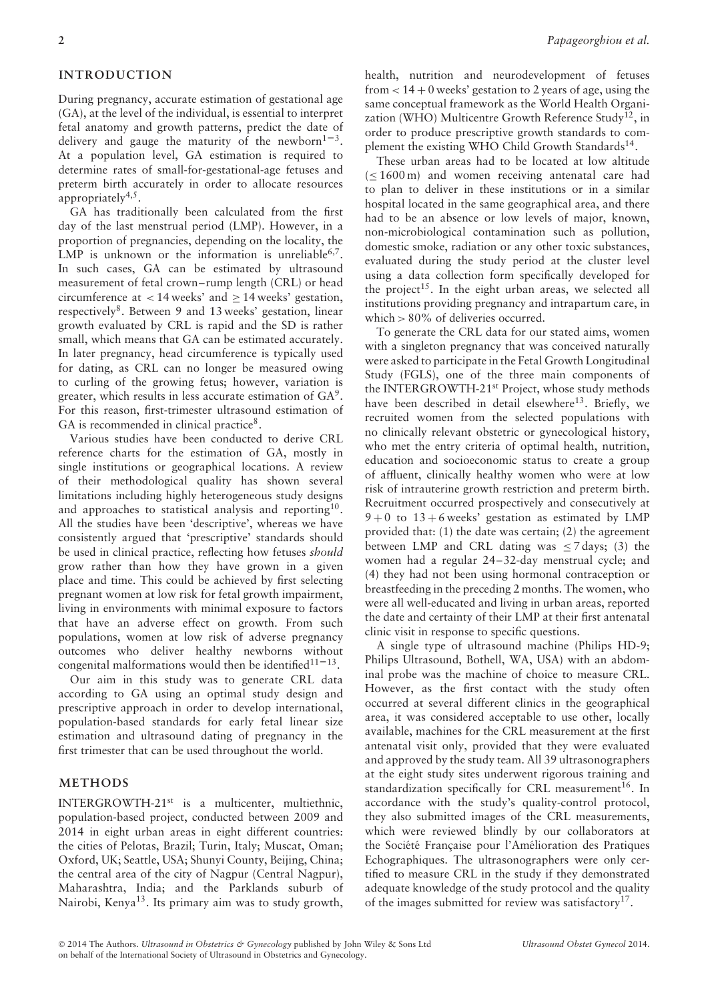#### **INTRODUCTION**

During pregnancy, accurate estimation of gestational age (GA), at the level of the individual, is essential to interpret fetal anatomy and growth patterns, predict the date of delivery and gauge the maturity of the newborn $1^{-3}$ . At a population level, GA estimation is required to determine rates of small-for-gestational-age fetuses and preterm birth accurately in order to allocate resources appropriately $4,5$ .

GA has traditionally been calculated from the first day of the last menstrual period (LMP). However, in a proportion of pregnancies, depending on the locality, the LMP is unknown or the information is unreliable  $6,7$ . In such cases, GA can be estimated by ultrasound measurement of fetal crown–rump length (CRL) or head circumference at *<* 14 weeks' and ≥ 14 weeks' gestation, respectively<sup>8</sup>. Between 9 and 13 weeks' gestation, linear growth evaluated by CRL is rapid and the SD is rather small, which means that GA can be estimated accurately. In later pregnancy, head circumference is typically used for dating, as CRL can no longer be measured owing to curling of the growing fetus; however, variation is greater, which results in less accurate estimation of GA9. For this reason, first-trimester ultrasound estimation of GA is recommended in clinical practice<sup>8</sup>.

Various studies have been conducted to derive CRL reference charts for the estimation of GA, mostly in single institutions or geographical locations. A review of their methodological quality has shown several limitations including highly heterogeneous study designs and approaches to statistical analysis and reporting<sup>10</sup>. All the studies have been 'descriptive', whereas we have consistently argued that 'prescriptive' standards should be used in clinical practice, reflecting how fetuses *should* grow rather than how they have grown in a given place and time. This could be achieved by first selecting pregnant women at low risk for fetal growth impairment, living in environments with minimal exposure to factors that have an adverse effect on growth. From such populations, women at low risk of adverse pregnancy outcomes who deliver healthy newborns without congenital malformations would then be identified $11-13$ .

Our aim in this study was to generate CRL data according to GA using an optimal study design and prescriptive approach in order to develop international, population-based standards for early fetal linear size estimation and ultrasound dating of pregnancy in the first trimester that can be used throughout the world.

## **METHODS**

INTERGROWTH-21st is a multicenter, multiethnic, population-based project, conducted between 2009 and 2014 in eight urban areas in eight different countries: the cities of Pelotas, Brazil; Turin, Italy; Muscat, Oman; Oxford, UK; Seattle, USA; Shunyi County, Beijing, China; the central area of the city of Nagpur (Central Nagpur), Maharashtra, India; and the Parklands suburb of Nairobi, Kenya<sup>13</sup>. Its primary aim was to study growth,

health, nutrition and neurodevelopment of fetuses from *<* 14 + 0 weeks' gestation to 2 years of age, using the same conceptual framework as the World Health Organization (WHO) Multicentre Growth Reference Study<sup>12</sup>, in order to produce prescriptive growth standards to complement the existing WHO Child Growth Standards<sup>14</sup>.

These urban areas had to be located at low altitude  $(\leq 1600 \,\mathrm{m})$  and women receiving antenatal care had to plan to deliver in these institutions or in a similar hospital located in the same geographical area, and there had to be an absence or low levels of major, known, non-microbiological contamination such as pollution, domestic smoke, radiation or any other toxic substances, evaluated during the study period at the cluster level using a data collection form specifically developed for the project<sup>15</sup>. In the eight urban areas, we selected all institutions providing pregnancy and intrapartum care, in which *>* 80% of deliveries occurred.

To generate the CRL data for our stated aims, women with a singleton pregnancy that was conceived naturally were asked to participate in the Fetal Growth Longitudinal Study (FGLS), one of the three main components of the INTERGROWTH-21<sup>st</sup> Project, whose study methods have been described in detail elsewhere<sup>13</sup>. Briefly, we recruited women from the selected populations with no clinically relevant obstetric or gynecological history, who met the entry criteria of optimal health, nutrition, education and socioeconomic status to create a group of affluent, clinically healthy women who were at low risk of intrauterine growth restriction and preterm birth. Recruitment occurred prospectively and consecutively at  $9 + 0$  to  $13 + 6$  weeks' gestation as estimated by LMP provided that: (1) the date was certain; (2) the agreement between LMP and CRL dating was  $\leq$  7 days; (3) the women had a regular 24–32-day menstrual cycle; and (4) they had not been using hormonal contraception or breastfeeding in the preceding 2 months. The women, who were all well-educated and living in urban areas, reported the date and certainty of their LMP at their first antenatal clinic visit in response to specific questions.

A single type of ultrasound machine (Philips HD-9; Philips Ultrasound, Bothell, WA, USA) with an abdominal probe was the machine of choice to measure CRL. However, as the first contact with the study often occurred at several different clinics in the geographical area, it was considered acceptable to use other, locally available, machines for the CRL measurement at the first antenatal visit only, provided that they were evaluated and approved by the study team. All 39 ultrasonographers at the eight study sites underwent rigorous training and standardization specifically for CRL measurement<sup>16</sup>. In accordance with the study's quality-control protocol, they also submitted images of the CRL measurements, which were reviewed blindly by our collaborators at the Société Française pour l'Amélioration des Pratiques Echographiques. The ultrasonographers were only certified to measure CRL in the study if they demonstrated adequate knowledge of the study protocol and the quality of the images submitted for review was satisfactory<sup>17</sup>.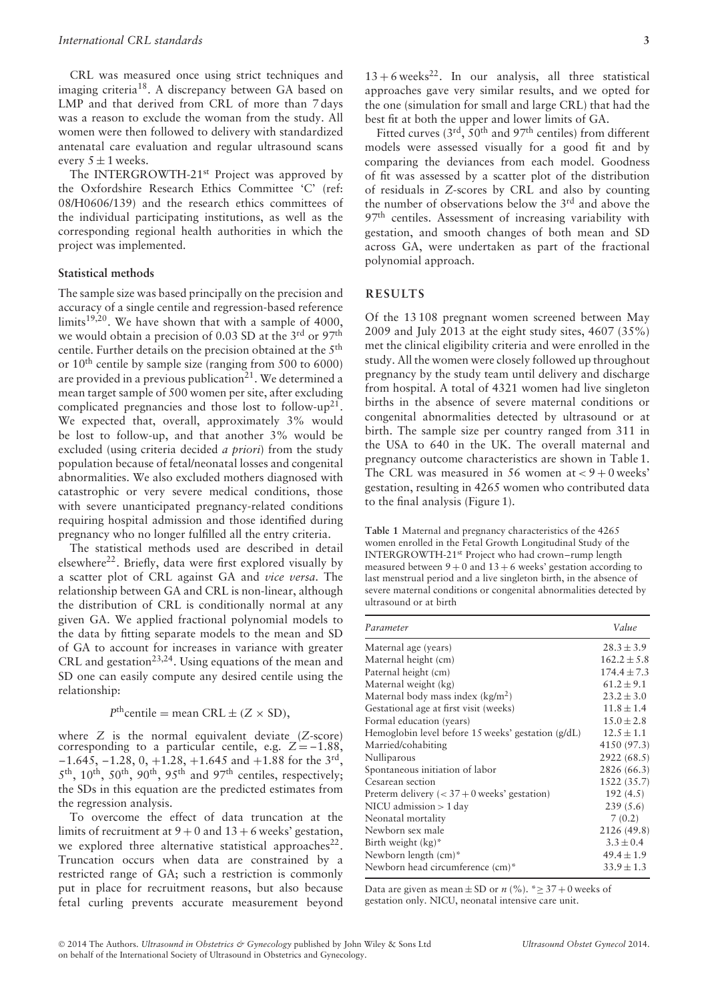CRL was measured once using strict techniques and imaging criteria18. A discrepancy between GA based on LMP and that derived from CRL of more than 7 days was a reason to exclude the woman from the study. All women were then followed to delivery with standardized antenatal care evaluation and regular ultrasound scans every  $5 \pm 1$  weeks.

The INTERGROWTH-21<sup>st</sup> Project was approved by the Oxfordshire Research Ethics Committee 'C' (ref: 08/H0606/139) and the research ethics committees of the individual participating institutions, as well as the corresponding regional health authorities in which the project was implemented.

#### **Statistical methods**

The sample size was based principally on the precision and accuracy of a single centile and regression-based reference limits<sup>19,20</sup>. We have shown that with a sample of 4000, we would obtain a precision of 0.03 SD at the 3<sup>rd</sup> or 97<sup>th</sup> centile. Further details on the precision obtained at the 5th or 10th centile by sample size (ranging from 500 to 6000) are provided in a previous publication<sup>21</sup>. We determined a mean target sample of 500 women per site, after excluding complicated pregnancies and those lost to follow-up<sup>21</sup>. We expected that, overall, approximately 3% would be lost to follow-up, and that another 3% would be excluded (using criteria decided *a priori*) from the study population because of fetal/neonatal losses and congenital abnormalities. We also excluded mothers diagnosed with catastrophic or very severe medical conditions, those with severe unanticipated pregnancy-related conditions requiring hospital admission and those identified during pregnancy who no longer fulfilled all the entry criteria.

The statistical methods used are described in detail elsewhere<sup>22</sup>. Briefly, data were first explored visually by a scatter plot of CRL against GA and *vice versa*. The relationship between GA and CRL is non-linear, although the distribution of CRL is conditionally normal at any given GA. We applied fractional polynomial models to the data by fitting separate models to the mean and SD of GA to account for increases in variance with greater CRL and gestation<sup>23,24</sup>. Using equations of the mean and SD one can easily compute any desired centile using the relationship:

 $P^{\text{th}}$ centile = mean CRL  $\pm$  (*Z* × SD),

where *Z* is the normal equivalent deviate (*Z*-score) corresponding to a particular centile, e.g.  $Z = -1.88$ ,  $-1.645$ ,  $-1.28$ , 0,  $+1.28$ ,  $+1.645$  and  $+1.88$  for the 3<sup>rd</sup>, 5<sup>th</sup>, 10<sup>th</sup>, 50<sup>th</sup>, 90<sup>th</sup>, 95<sup>th</sup> and 97<sup>th</sup> centiles, respectively; the SDs in this equation are the predicted estimates from the regression analysis.

To overcome the effect of data truncation at the limits of recruitment at  $9 + 0$  and  $13 + 6$  weeks' gestation, we explored three alternative statistical approaches<sup>22</sup>. Truncation occurs when data are constrained by a restricted range of GA; such a restriction is commonly put in place for recruitment reasons, but also because fetal curling prevents accurate measurement beyond

 $13 + 6$  weeks<sup>22</sup>. In our analysis, all three statistical approaches gave very similar results, and we opted for the one (simulation for small and large CRL) that had the best fit at both the upper and lower limits of GA.

Fitted curves  $(3^{rd}, 50^{th}$  and  $97^{th}$  centiles) from different models were assessed visually for a good fit and by comparing the deviances from each model. Goodness of fit was assessed by a scatter plot of the distribution of residuals in *Z*-scores by CRL and also by counting the number of observations below the 3rd and above the 97th centiles. Assessment of increasing variability with gestation, and smooth changes of both mean and SD across GA, were undertaken as part of the fractional polynomial approach.

#### **RESULTS**

Of the 13 108 pregnant women screened between May 2009 and July 2013 at the eight study sites, 4607 (35%) met the clinical eligibility criteria and were enrolled in the study. All the women were closely followed up throughout pregnancy by the study team until delivery and discharge from hospital. A total of 4321 women had live singleton births in the absence of severe maternal conditions or congenital abnormalities detected by ultrasound or at birth. The sample size per country ranged from 311 in the USA to 640 in the UK. The overall maternal and pregnancy outcome characteristics are shown in Table 1. The CRL was measured in 56 women at  $< 9 + 0$  weeks' gestation, resulting in 4265 women who contributed data to the final analysis (Figure 1).

**Table 1** Maternal and pregnancy characteristics of the 4265 women enrolled in the Fetal Growth Longitudinal Study of the INTERGROWTH-21st Project who had crown–rump length measured between  $9 + 0$  and  $13 + 6$  weeks' gestation according to last menstrual period and a live singleton birth, in the absence of severe maternal conditions or congenital abnormalities detected by ultrasound or at birth

| Parameter                                          | Value           |
|----------------------------------------------------|-----------------|
| Maternal age (years)                               | $28.3 \pm 3.9$  |
| Maternal height (cm)                               | $162.2 \pm 5.8$ |
| Paternal height (cm)                               | $174.4 \pm 7.3$ |
| Maternal weight (kg)                               | $61.2 \pm 9.1$  |
| Maternal body mass index $(kg/m^2)$                | $23.2 \pm 3.0$  |
| Gestational age at first visit (weeks)             | $11.8 \pm 1.4$  |
| Formal education (years)                           | $15.0 \pm 2.8$  |
| Hemoglobin level before 15 weeks' gestation (g/dL) | $12.5 \pm 1.1$  |
| Married/cohabiting                                 | 4150 (97.3)     |
| Nulliparous                                        | 2922 (68.5)     |
| Spontaneous initiation of labor                    | 2826 (66.3)     |
| Cesarean section                                   | 1522 (35.7)     |
| Preterm delivery $(< 37 + 0$ weeks' gestation)     | 192(4.5)        |
| NICU admission $> 1$ day                           | 239(5.6)        |
| Neonatal mortality                                 | 7(0.2)          |
| Newborn sex male                                   | 2126 (49.8)     |
| Birth weight $(kg)^*$                              | $3.3 \pm 0.4$   |
| Newborn length (cm)*                               | $49.4 \pm 1.9$  |
| Newborn head circumference (cm)*                   | $33.9 \pm 1.3$  |

Data are given as mean  $\pm$  SD or *n* (%). \*  $\geq$  37 + 0 weeks of gestation only. NICU, neonatal intensive care unit.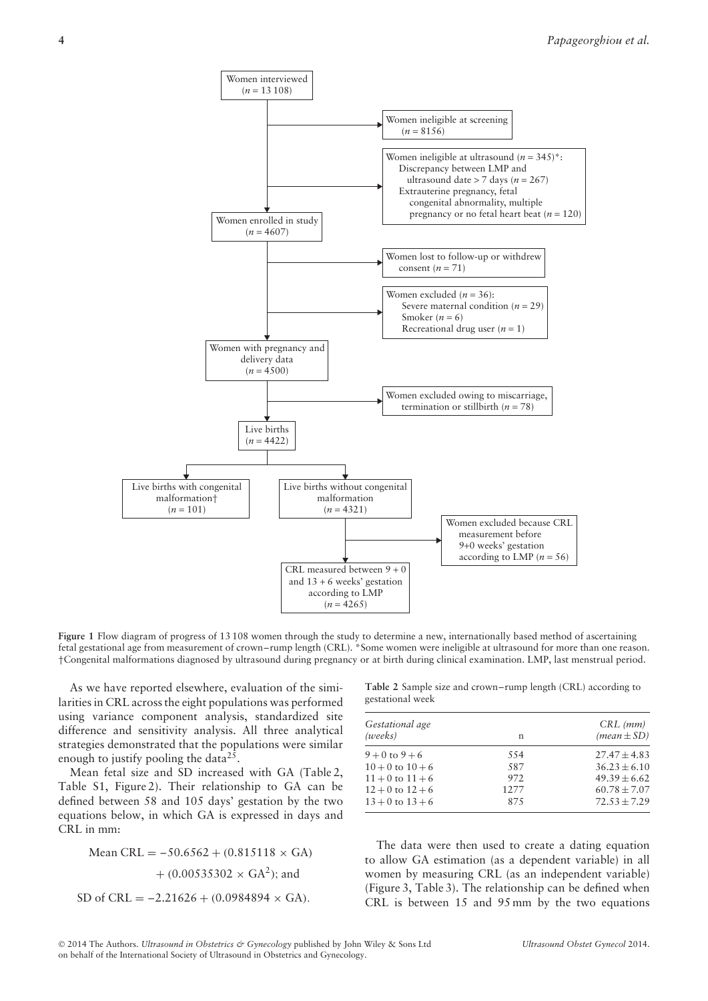

**Figure 1** Flow diagram of progress of 13 108 women through the study to determine a new, internationally based method of ascertaining fetal gestational age from measurement of crown–rump length (CRL). \*Some women were ineligible at ultrasound for more than one reason. †Congenital malformations diagnosed by ultrasound during pregnancy or at birth during clinical examination. LMP, last menstrual period.

As we have reported elsewhere, evaluation of the similarities in CRL across the eight populations was performed using variance component analysis, standardized site difference and sensitivity analysis. All three analytical strategies demonstrated that the populations were similar enough to justify pooling the data<sup>25</sup>.

Mean fetal size and SD increased with GA (Table 2, Table S1, Figure 2). Their relationship to GA can be defined between 58 and 105 days' gestation by the two equations below, in which GA is expressed in days and CRL in mm:

Mean CRL =  $-50.6562 + (0.815118 \times GA)$  $+$  (0.00535302  $\times$  GA<sup>2</sup>); and SD of CRL =  $-2.21626 + (0.0984894 \times GA)$ .

**Table 2** Sample size and crown–rump length (CRL) according to gestational week

| Gestational age<br>(weeks) | n    | $CRL$ (mm)<br>$mean \pm SD$ |
|----------------------------|------|-----------------------------|
| $9 + 0$ to $9 + 6$         | 554  | $27.47 \pm 4.83$            |
| $10 + 0$ to $10 + 6$       | 587  | $36.23 \pm 6.10$            |
| $11 + 0$ to $11 + 6$       | 972  | $49.39 \pm 6.62$            |
| $12 + 0$ to $12 + 6$       | 1277 | $60.78 \pm 7.07$            |
| $13 + 0$ to $13 + 6$       | 875  | $72.53 \pm 7.29$            |

The data were then used to create a dating equation to allow GA estimation (as a dependent variable) in all women by measuring CRL (as an independent variable) (Figure 3, Table 3). The relationship can be defined when CRL is between 15 and 95 mm by the two equations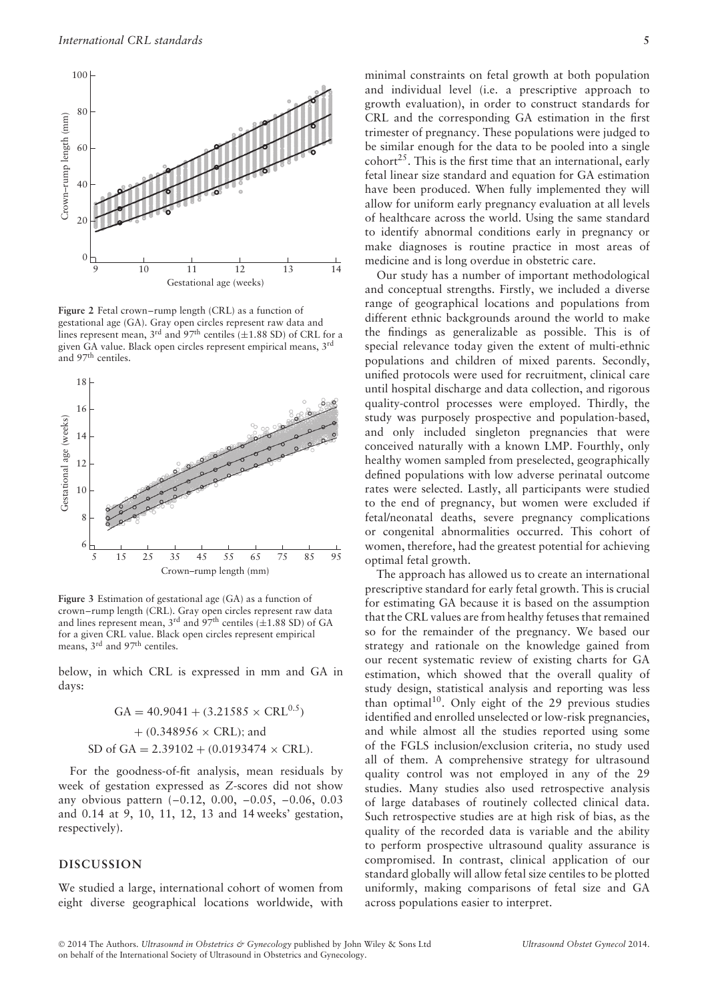

**Figure 2** Fetal crown–rump length (CRL) as a function of gestational age (GA). Gray open circles represent raw data and lines represent mean,  $3^{rd}$  and  $97^{th}$  centiles ( $\pm$ 1.88 SD) of CRL for a given GA value. Black open circles represent empirical means, 3rd and 97<sup>th</sup> centiles.



**Figure 3** Estimation of gestational age (GA) as a function of crown–rump length (CRL). Gray open circles represent raw data and lines represent mean,  $3^{\text{rd}}$  and  $97^{\text{th}}$  centiles ( $\pm$ 1.88 SD) of GA for a given CRL value. Black open circles represent empirical means, 3<sup>rd</sup> and 97<sup>th</sup> centiles.

below, in which CRL is expressed in mm and GA in days:

$$
GA = 40.9041 + (3.21585 \times \text{CRL}^{0.5})
$$

$$
+ (0.348956 \times \text{CRL}); \text{ and}
$$

$$
SD \text{ of GA} = 2.39102 + (0.0193474 \times \text{CRL}).
$$

For the goodness-of-fit analysis, mean residuals by week of gestation expressed as *Z*-scores did not show any obvious pattern (–0.12, 0.00, –0.05, –0.06, 0.03 and 0.14 at 9, 10, 11, 12, 13 and 14 weeks' gestation, respectively).

#### **DISCUSSION**

We studied a large, international cohort of women from eight diverse geographical locations worldwide, with

minimal constraints on fetal growth at both population and individual level (i.e. a prescriptive approach to growth evaluation), in order to construct standards for CRL and the corresponding GA estimation in the first trimester of pregnancy. These populations were judged to be similar enough for the data to be pooled into a single cohort<sup>25</sup>. This is the first time that an international, early fetal linear size standard and equation for GA estimation have been produced. When fully implemented they will allow for uniform early pregnancy evaluation at all levels of healthcare across the world. Using the same standard to identify abnormal conditions early in pregnancy or make diagnoses is routine practice in most areas of medicine and is long overdue in obstetric care.

Our study has a number of important methodological and conceptual strengths. Firstly, we included a diverse range of geographical locations and populations from different ethnic backgrounds around the world to make the findings as generalizable as possible. This is of special relevance today given the extent of multi-ethnic populations and children of mixed parents. Secondly, unified protocols were used for recruitment, clinical care until hospital discharge and data collection, and rigorous quality-control processes were employed. Thirdly, the study was purposely prospective and population-based, and only included singleton pregnancies that were conceived naturally with a known LMP. Fourthly, only healthy women sampled from preselected, geographically defined populations with low adverse perinatal outcome rates were selected. Lastly, all participants were studied to the end of pregnancy, but women were excluded if fetal/neonatal deaths, severe pregnancy complications or congenital abnormalities occurred. This cohort of women, therefore, had the greatest potential for achieving optimal fetal growth.

The approach has allowed us to create an international prescriptive standard for early fetal growth. This is crucial for estimating GA because it is based on the assumption that the CRL values are from healthy fetuses that remained so for the remainder of the pregnancy. We based our strategy and rationale on the knowledge gained from our recent systematic review of existing charts for GA estimation, which showed that the overall quality of study design, statistical analysis and reporting was less than optimal<sup>10</sup>. Only eight of the 29 previous studies identified and enrolled unselected or low-risk pregnancies, and while almost all the studies reported using some of the FGLS inclusion/exclusion criteria, no study used all of them. A comprehensive strategy for ultrasound quality control was not employed in any of the 29 studies. Many studies also used retrospective analysis of large databases of routinely collected clinical data. Such retrospective studies are at high risk of bias, as the quality of the recorded data is variable and the ability to perform prospective ultrasound quality assurance is compromised. In contrast, clinical application of our standard globally will allow fetal size centiles to be plotted uniformly, making comparisons of fetal size and GA across populations easier to interpret.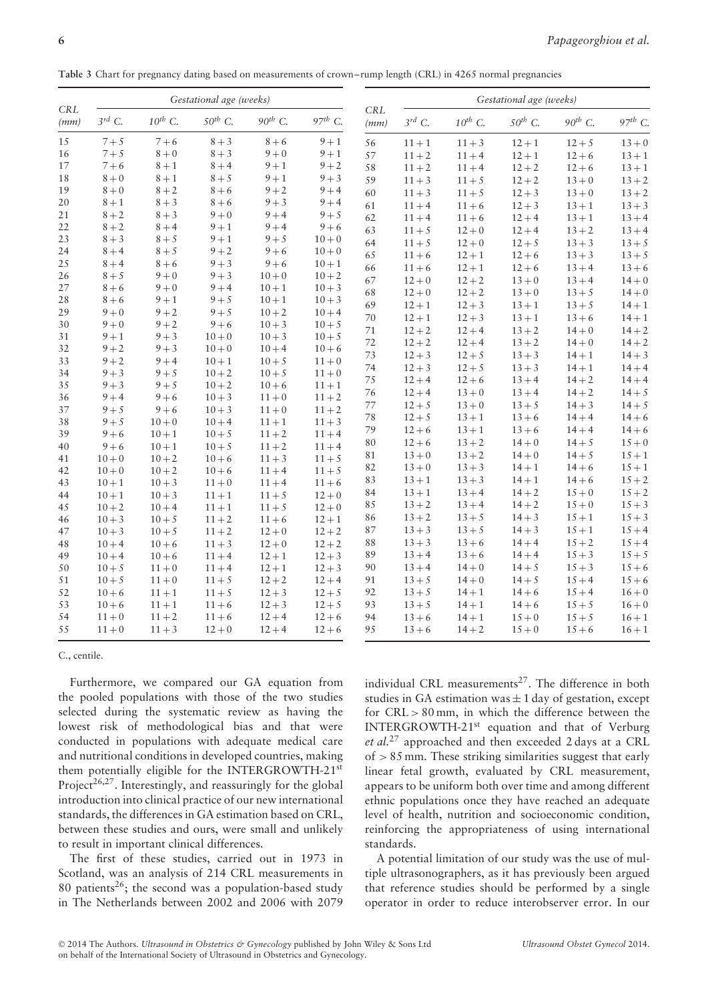**Table 3** Chart for pregnancy dating based on measurements of crown–rump length (CRL) in 4265 normal pregnancies

|                    | Gestational age (weeks) |              |              |              | Gestational age (weeks) |             |             |              |              |              |                       |
|--------------------|-------------------------|--------------|--------------|--------------|-------------------------|-------------|-------------|--------------|--------------|--------------|-----------------------|
| <b>CRL</b><br>(mm) | $3^{rd}$ C.             | $10^{th}$ C. | $50^{th}$ C. | $90^{th}$ C. | $97$ <sup>th</sup> C.   | CRL<br>(mm) | $3^{rd}$ C. | $10^{th}$ C. | $50^{th}$ C. | $90^{th}$ C. | $97$ <sup>th</sup> C. |
| 15                 | $7 + 5$                 | $7 + 6$      | $8 + 3$      | $8 + 6$      | $9 + 1$                 | 56          | $11 + 1$    | $11 + 3$     | $12 + 1$     | $12 + 5$     | $13 + 0$              |
| 16                 | $7 + 5$                 | $8+0$        | $8 + 3$      | $9 + 0$      | $9 + 1$                 | 57          | $11 + 2$    | $11 + 4$     | $12 + 1$     | $12 + 6$     | $13 + 1$              |
| 17                 | $7 + 6$                 | $8+1$        | $8 + 4$      | $9 + 1$      | $9 + 2$                 | 58          | $11 + 2$    | $11 + 4$     | $12 + 2$     | $12 + 6$     | $13 + 1$              |
| 18                 | $8 + 0$                 | $8+1$        | $8 + 5$      | $9 + 1$      | $9 + 3$                 | 59          | $11 + 3$    | $11 + 5$     | $12 + 2$     | $13 + 0$     | $13 + 2$              |
| 19                 | $8 + 0$                 | $8 + 2$      | $8 + 6$      | $9 + 2$      | $9 + 4$                 | 60          | $11 + 3$    | $11 + 5$     | $12 + 3$     | $13 + 0$     | $13 + 2$              |
| 20                 | $8 + 1$                 | $8 + 3$      | $8 + 6$      | $9 + 3$      | $9 + 4$                 | 61          | $11 + 4$    | $11 + 6$     | $12 + 3$     | $13 + 1$     | $13 + 3$              |
| 21                 | $8 + 2$                 | $8 + 3$      | $9 + 0$      | $9 + 4$      | $9 + 5$                 | 62          | $11 + 4$    | $11 + 6$     | $12 + 4$     | $13 + 1$     | $13 + 4$              |
| 22                 | $8 + 2$                 | $8 + 4$      | $9 + 1$      | $9 + 4$      | $9 + 6$                 | 63          | $11 + 5$    | $12 + 0$     | $12 + 4$     | $13 + 2$     | $13 + 4$              |
| 23                 | $8 + 3$                 | $8+5$        | $9 + 1$      | $9 + 5$      | $10 + 0$                | 64          | $11 + 5$    | $12 + 0$     | $12 + 5$     | $13 + 3$     | $13 + 5$              |
| 24                 | $8 + 4$                 | $8+5$        | $9 + 2$      | $9 + 6$      | $10 + 0$                | 65          | $11 + 6$    | $12 + 1$     | $12 + 6$     | $13 + 3$     | $13 + 5$              |
| 25                 | $8 + 4$                 | $8 + 6$      | $9 + 3$      | $9 + 6$      | $10 + 1$                | 66          | $11 + 6$    | $12 + 1$     | $12 + 6$     | $13 + 4$     | $13 + 6$              |
| 26                 | $8 + 5$                 | $9 + 0$      | $9 + 3$      | $10 + 0$     | $10 + 2$                | 67          | $12 + 0$    | $12 + 2$     | $13 + 0$     | $13 + 4$     | $14 + 0$              |
| 27                 | $8+6$                   | $9 + 0$      | $9 + 4$      | $10 + 1$     | $10 + 3$                | 68          | $12 + 0$    | $12 + 2$     | $13 + 0$     | $13 + 5$     | $14 + 0$              |
| 28                 | $8 + 6$                 | $9 + 1$      | $9 + 5$      | $10 + 1$     | $10 + 3$                | 69          | $12 + 1$    | $12 + 3$     | $13 + 1$     | $13 + 5$     | $14 + 1$              |
| 29                 | $9 + 0$                 | $9 + 2$      | $9 + 5$      | $10 + 2$     | $10 + 4$                | 70          | $12 + 1$    | $12 + 3$     | $13 + 1$     | $13 + 6$     |                       |
| 30                 | $9 + 0$                 | $9 + 2$      | $9 + 6$      | $10 + 3$     | $10 + 5$                | 71          |             |              |              |              | $14 + 1$              |
| 31                 | $9 + 1$                 | $9 + 3$      | $10 + 0$     | $10 + 3$     | $10 + 5$                | 72          | $12 + 2$    | $12 + 4$     | $13 + 2$     | $14 + 0$     | $14 + 2$              |
| 32                 | $9 + 2$                 | $9 + 3$      | $10 + 0$     | $10 + 4$     | $10 + 6$                |             | $12 + 2$    | $12 + 4$     | $13 + 2$     | $14 + 0$     | $14 + 2$              |
| 33                 | $9 + 2$                 | $9 + 4$      | $10 + 1$     | $10 + 5$     | $11 + 0$                | 73          | $12 + 3$    | $12 + 5$     | $13 + 3$     | $14 + 1$     | $14 + 3$              |
| 34                 | $9 + 3$                 | $9 + 5$      | $10 + 2$     | $10 + 5$     | $11 + 0$                | 74          | $12 + 3$    | $12 + 5$     | $13 + 3$     | $14 + 1$     | $14 + 4$              |
| 35                 | $9 + 3$                 | $9 + 5$      | $10 + 2$     | $10 + 6$     | $11 + 1$                | 75          | $12 + 4$    | $12 + 6$     | $13 + 4$     | $14 + 2$     | $14 + 4$              |
| 36                 | $9 + 4$                 | $9 + 6$      | $10 + 3$     | $11 + 0$     | $11 + 2$                | 76          | $12 + 4$    | $13 + 0$     | $13 + 4$     | $14 + 2$     | $14 + 5$              |
| 37                 | $9 + 5$                 | $9 + 6$      | $10 + 3$     | $11 + 0$     | $11 + 2$                | 77          | $12 + 5$    | $13 + 0$     | $13 + 5$     | $14 + 3$     | $14 + 5$              |
| 38                 | $9 + 5$                 | $10 + 0$     | $10 + 4$     | $11 + 1$     | $11 + 3$                | 78          | $12 + 5$    | $13 + 1$     | $13 + 6$     | $14 + 4$     | $14 + 6$              |
| 39                 | $9 + 6$                 | $10 + 1$     | $10 + 5$     | $11 + 2$     | $11 + 4$                | 79          | $12 + 6$    | $13 + 1$     | $13 + 6$     | $14 + 4$     | $14 + 6$              |
| 40                 | $9 + 6$                 | $10 + 1$     | $10 + 5$     | $11 + 2$     | $11 + 4$                | 80          | $12 + 6$    | $13 + 2$     | $14 + 0$     | $14 + 5$     | $15 + 0$              |
| 41                 | $10 + 0$                | $10 + 2$     | $10 + 6$     | $11 + 3$     | $11 + 5$                | 81          | $13 + 0$    | $13 + 2$     | $14 + 0$     | $14 + 5$     | $15 + 1$              |
| 42                 | $10 + 0$                | $10 + 2$     | $10 + 6$     | $11 + 4$     | $11 + 5$                | 82          | $13 + 0$    | $13 + 3$     | $14 + 1$     | $14 + 6$     | $15 + 1$              |
| 43                 | $10 + 1$                | $10 + 3$     | $11 + 0$     | $11 + 4$     | $11 + 6$                | 83          | $13 + 1$    | $13 + 3$     | $14 + 1$     | $14 + 6$     | $15 + 2$              |
| 44                 | $10 + 1$                | $10 + 3$     | $11 + 1$     | $11 + 5$     | $12 + 0$                | 84          | $13 + 1$    | $13 + 4$     | $14 + 2$     | $15+0\,$     | $15 + 2$              |
| 45                 | $10 + 2$                | $10 + 4$     | $11 + 1$     | $11 + 5$     | $12 + 0$                | 85          | $13 + 2$    | $13 + 4$     | $14 + 2$     | $15 + 0$     | $15 + 3$              |
| 46                 | $10 + 3$                | $10 + 5$     | $11 + 2$     | $11 + 6$     | $12 + 1$                | 86          | $13 + 2$    | $13 + 5$     | $14 + 3$     | $15 + 1$     | $15 + 3$              |
| 47                 | $10 + 3$                | $10 + 5$     | $11 + 2$     | $12 + 0$     | $12 + 2$                | 87          | $13 + 3$    | $13 + 5$     | $14 + 3$     | $15 + 1$     | $15 + 4$              |
| 48                 | $10 + 4$                | $10 + 6$     | $11 + 3$     | $12 + 0$     | $12 + 2$                | 88          | $13 + 3$    | $13 + 6$     | $14 + 4$     | $15 + 2$     | $15 + 4$              |
| 49                 | $10 + 4$                | $10 + 6$     | $11 + 4$     | $12 + 1$     | $12 + 3$                | 89          | $13 + 4$    | $13 + 6$     | $14 + 4$     | $15 + 3$     | $15 + 5$              |
| 50                 | $10 + 5$                | $11 + 0$     | $11 + 4$     | $12 + 1$     | $12 + 3$                | 90          | $13 + 4$    | $14 + 0$     | $14 + 5$     | $15 + 3$     | $15 + 6$              |
| 51                 | $10 + 5$                | $11 + 0$     | $11 + 5$     | $12 + 2$     | $12 + 4$                | 91          | $13 + 5$    | $14 + 0$     | $14 + 5$     | $15 + 4$     | $15 + 6$              |
| 52                 | $10 + 6$                | $11 + 1$     | $11 + 5$     | $12 + 3$     | $12 + 5$                | 92          | $13 + 5$    | $14 + 1$     | $14 + 6$     | $15 + 4$     | $16 + 0$              |
| 53                 | $10 + 6$                | $11 + 1$     | $11 + 6$     | $12 + 3$     | $12 + 5$                | 93          | $13 + 5$    | $14 + 1$     | $14 + 6$     | $15 + 5$     | $16 + 0$              |
| 54                 | $11 + 0$                | $11 + 2$     | $11 + 6$     | $12 + 4$     | $12 + 6$                | 94          | $13 + 6$    | $14 + 1$     | $15 + 0$     | $15 + 5$     | $16 + 1$              |
| 55                 | $11 + 0$                | $11 + 3$     | $12 + 0$     | $12 + 4$     | $12 + 6$                | 95          | $13 + 6$    | $14 + 2$     | $15 + 0$     | $15 + 6$     | $16 + 1$              |

#### C., centile.

Furthermore, we compared our GA equation from the pooled populations with those of the two studies selected during the systematic review as having the lowest risk of methodological bias and that were conducted in populations with adequate medical care and nutritional conditions in developed countries, making them potentially eligible for the INTERGROWTH-21st Project<sup>26,27</sup>. Interestingly, and reassuringly for the global introduction into clinical practice of our new international standards, the differences in GA estimation based on CRL, between these studies and ours, were small and unlikely to result in important clinical differences.

The first of these studies, carried out in 1973 in Scotland, was an analysis of 214 CRL measurements in 80 patients<sup>26</sup>; the second was a population-based study in The Netherlands between 2002 and 2006 with 2079

individual CRL measurements<sup>27</sup>. The difference in both studies in GA estimation was  $\pm$  1 day of gestation, except for CRL *>* 80 mm, in which the difference between the INTERGROWTH-21st equation and that of Verburg *et al.*<sup>27</sup> approached and then exceeded 2 days at a CRL of *>* 85 mm. These striking similarities suggest that early linear fetal growth, evaluated by CRL measurement, appears to be uniform both over time and among different ethnic populations once they have reached an adequate level of health, nutrition and socioeconomic condition, reinforcing the appropriateness of using international standards.

A potential limitation of our study was the use of multiple ultrasonographers, as it has previously been argued that reference studies should be performed by a single operator in order to reduce interobserver error. In our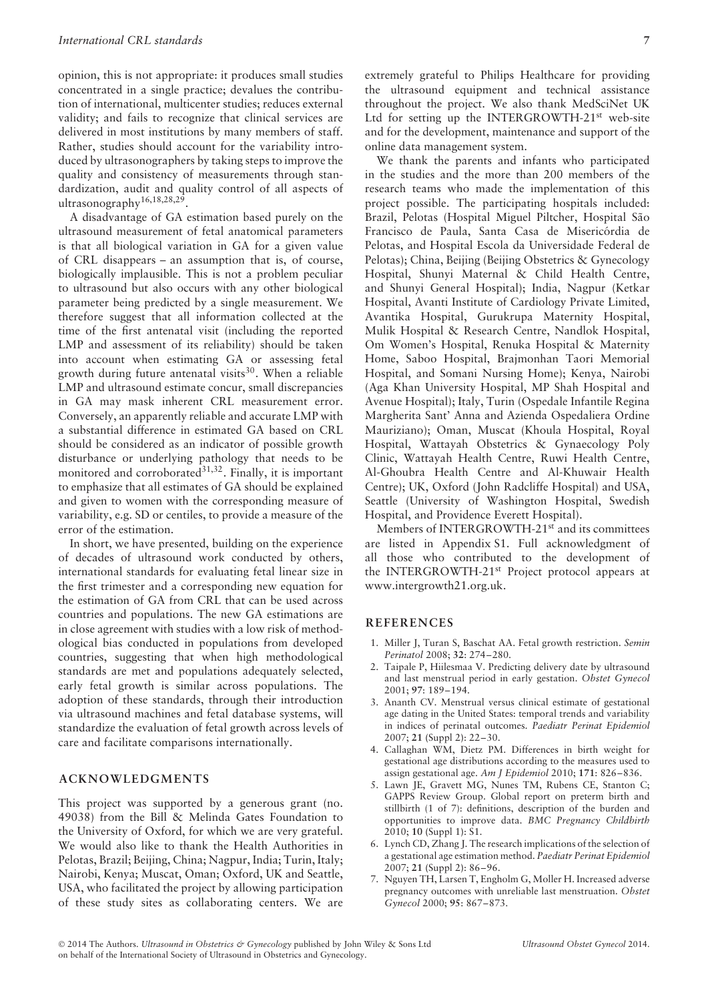opinion, this is not appropriate: it produces small studies concentrated in a single practice; devalues the contribution of international, multicenter studies; reduces external validity; and fails to recognize that clinical services are delivered in most institutions by many members of staff. Rather, studies should account for the variability introduced by ultrasonographers by taking steps to improve the quality and consistency of measurements through standardization, audit and quality control of all aspects of ultrasonography16,18,28,29.

A disadvantage of GA estimation based purely on the ultrasound measurement of fetal anatomical parameters is that all biological variation in GA for a given value of CRL disappears – an assumption that is, of course, biologically implausible. This is not a problem peculiar to ultrasound but also occurs with any other biological parameter being predicted by a single measurement. We therefore suggest that all information collected at the time of the first antenatal visit (including the reported LMP and assessment of its reliability) should be taken into account when estimating GA or assessing fetal growth during future antenatal visits<sup>30</sup>. When a reliable LMP and ultrasound estimate concur, small discrepancies in GA may mask inherent CRL measurement error. Conversely, an apparently reliable and accurate LMP with a substantial difference in estimated GA based on CRL should be considered as an indicator of possible growth disturbance or underlying pathology that needs to be monitored and corroborated $31,32$ . Finally, it is important to emphasize that all estimates of GA should be explained and given to women with the corresponding measure of variability, e.g. SD or centiles, to provide a measure of the error of the estimation.

In short, we have presented, building on the experience of decades of ultrasound work conducted by others, international standards for evaluating fetal linear size in the first trimester and a corresponding new equation for the estimation of GA from CRL that can be used across countries and populations. The new GA estimations are in close agreement with studies with a low risk of methodological bias conducted in populations from developed countries, suggesting that when high methodological standards are met and populations adequately selected, early fetal growth is similar across populations. The adoption of these standards, through their introduction via ultrasound machines and fetal database systems, will standardize the evaluation of fetal growth across levels of care and facilitate comparisons internationally.

#### **ACKNOWLEDGMENTS**

This project was supported by a generous grant (no. 49038) from the Bill & Melinda Gates Foundation to the University of Oxford, for which we are very grateful. We would also like to thank the Health Authorities in Pelotas, Brazil; Beijing, China; Nagpur, India; Turin, Italy; Nairobi, Kenya; Muscat, Oman; Oxford, UK and Seattle, USA, who facilitated the project by allowing participation of these study sites as collaborating centers. We are

extremely grateful to Philips Healthcare for providing the ultrasound equipment and technical assistance throughout the project. We also thank MedSciNet UK Ltd for setting up the INTERGROWTH-21<sup>st</sup> web-site and for the development, maintenance and support of the online data management system.

We thank the parents and infants who participated in the studies and the more than 200 members of the research teams who made the implementation of this project possible. The participating hospitals included: Brazil, Pelotas (Hospital Miguel Piltcher, Hospital São Francisco de Paula, Santa Casa de Misericórdia de Pelotas, and Hospital Escola da Universidade Federal de Pelotas); China, Beijing (Beijing Obstetrics & Gynecology Hospital, Shunyi Maternal & Child Health Centre, and Shunyi General Hospital); India, Nagpur (Ketkar Hospital, Avanti Institute of Cardiology Private Limited, Avantika Hospital, Gurukrupa Maternity Hospital, Mulik Hospital & Research Centre, Nandlok Hospital, Om Women's Hospital, Renuka Hospital & Maternity Home, Saboo Hospital, Brajmonhan Taori Memorial Hospital, and Somani Nursing Home); Kenya, Nairobi (Aga Khan University Hospital, MP Shah Hospital and Avenue Hospital); Italy, Turin (Ospedale Infantile Regina Margherita Sant' Anna and Azienda Ospedaliera Ordine Mauriziano); Oman, Muscat (Khoula Hospital, Royal Hospital, Wattayah Obstetrics & Gynaecology Poly Clinic, Wattayah Health Centre, Ruwi Health Centre, Al-Ghoubra Health Centre and Al-Khuwair Health Centre); UK, Oxford (John Radcliffe Hospital) and USA, Seattle (University of Washington Hospital, Swedish Hospital, and Providence Everett Hospital).

Members of INTERGROWTH-21<sup>st</sup> and its committees are listed in Appendix S1. Full acknowledgment of all those who contributed to the development of the INTERGROWTH-21<sup>st</sup> Project protocol appears at www.intergrowth21.org.uk.

#### **REFERENCES**

- 1. Miller J, Turan S, Baschat AA. Fetal growth restriction. *Semin Perinatol* 2008; **32**: 274–280.
- 2. Taipale P, Hiilesmaa V. Predicting delivery date by ultrasound and last menstrual period in early gestation. *Obstet Gynecol* 2001; **97**: 189–194.
- 3. Ananth CV. Menstrual versus clinical estimate of gestational age dating in the United States: temporal trends and variability in indices of perinatal outcomes. *Paediatr Perinat Epidemiol* 2007; **21 (**Suppl 2**)**: 22–30.
- 4. Callaghan WM, Dietz PM. Differences in birth weight for gestational age distributions according to the measures used to assign gestational age. *Am J Epidemiol* 2010; **171**: 826–836.
- 5. Lawn JE, Gravett MG, Nunes TM, Rubens CE, Stanton C; GAPPS Review Group. Global report on preterm birth and stillbirth (1 of 7): definitions, description of the burden and opportunities to improve data. *BMC Pregnancy Childbirth* 2010; **10 (**Suppl 1**)**: S1.
- 6. Lynch CD, Zhang J. The research implications of the selection of a gestational age estimation method. *Paediatr Perinat Epidemiol* 2007; **21 (**Suppl 2**)**: 86–96.
- 7. Nguyen TH, Larsen T, Engholm G, Moller H. Increased adverse pregnancy outcomes with unreliable last menstruation. *Obstet Gynecol* 2000; **95**: 867–873.